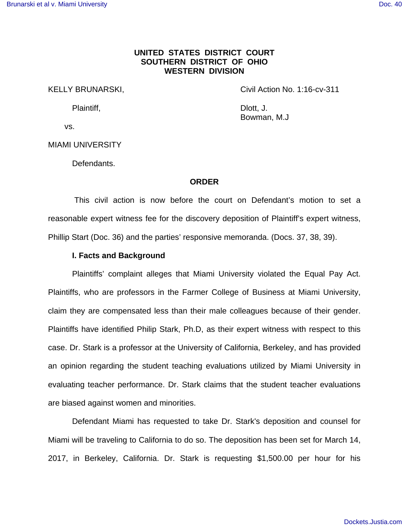## **UNITED STATES DISTRICT COURT SOUTHERN DISTRICT OF OHIO WESTERN DIVISION**

KELLY BRUNARSKI, The Civil Action No. 1:16-cv-311

Plaintiff, **Dividends Dividends Dividends Dividends Dividends Dividends Dividends Dividends Dividends Dividends Dividends Dividends Dividends Dividends Dividends Dividends Dividends Divide** Bowman, M.J

vs.

MIAMI UNIVERSITY

Defendants.

#### **ORDER**

 This civil action is now before the court on Defendant's motion to set a reasonable expert witness fee for the discovery deposition of Plaintiff's expert witness, Phillip Start (Doc. 36) and the parties' responsive memoranda. (Docs. 37, 38, 39).

### **I. Facts and Background**

Plaintiffs' complaint alleges that Miami University violated the Equal Pay Act. Plaintiffs, who are professors in the Farmer College of Business at Miami University, claim they are compensated less than their male colleagues because of their gender. Plaintiffs have identified Philip Stark, Ph.D, as their expert witness with respect to this case. Dr. Stark is a professor at the University of California, Berkeley, and has provided an opinion regarding the student teaching evaluations utilized by Miami University in evaluating teacher performance. Dr. Stark claims that the student teacher evaluations are biased against women and minorities.

Defendant Miami has requested to take Dr. Stark's deposition and counsel for Miami will be traveling to California to do so. The deposition has been set for March 14, 2017, in Berkeley, California. Dr. Stark is requesting \$1,500.00 per hour for his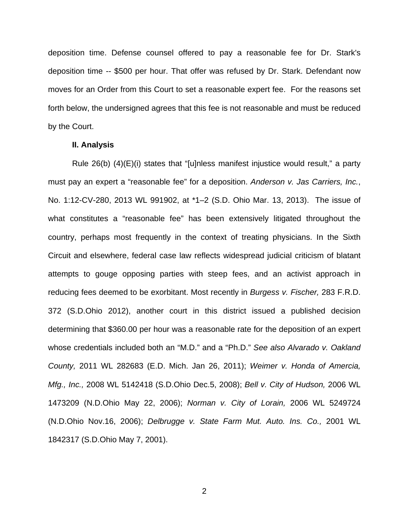deposition time. Defense counsel offered to pay a reasonable fee for Dr. Stark's deposition time -- \$500 per hour. That offer was refused by Dr. Stark. Defendant now moves for an Order from this Court to set a reasonable expert fee. For the reasons set forth below, the undersigned agrees that this fee is not reasonable and must be reduced by the Court.

#### **II. Analysis**

Rule 26(b) (4)(E)(i) states that "[u]nless manifest injustice would result," a party must pay an expert a "reasonable fee" for a deposition. Anderson v. Jas Carriers, Inc., No. 1:12-CV-280, 2013 WL 991902, at \*1–2 (S.D. Ohio Mar. 13, 2013). The issue of what constitutes a "reasonable fee" has been extensively litigated throughout the country, perhaps most frequently in the context of treating physicians. In the Sixth Circuit and elsewhere, federal case law reflects widespread judicial criticism of blatant attempts to gouge opposing parties with steep fees, and an activist approach in reducing fees deemed to be exorbitant. Most recently in Burgess v. Fischer, 283 F.R.D. 372 (S.D.Ohio 2012), another court in this district issued a published decision determining that \$360.00 per hour was a reasonable rate for the deposition of an expert whose credentials included both an "M.D." and a "Ph.D." See also Alvarado v. Oakland County, 2011 WL 282683 (E.D. Mich. Jan 26, 2011); Weimer v. Honda of Amercia, Mfg., Inc., 2008 WL 5142418 (S.D.Ohio Dec.5, 2008); Bell v. City of Hudson, 2006 WL 1473209 (N.D.Ohio May 22, 2006); Norman v. City of Lorain, 2006 WL 5249724 (N.D.Ohio Nov.16, 2006); Delbrugge v. State Farm Mut. Auto. Ins. Co., 2001 WL 1842317 (S.D.Ohio May 7, 2001).

2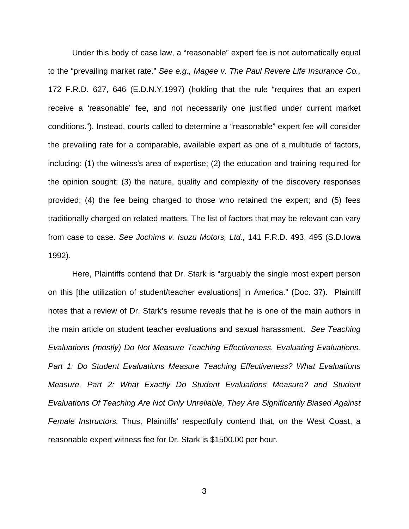Under this body of case law, a "reasonable" expert fee is not automatically equal to the "prevailing market rate." See e.g., Magee v. The Paul Revere Life Insurance Co., 172 F.R.D. 627, 646 (E.D.N.Y.1997) (holding that the rule "requires that an expert receive a 'reasonable' fee, and not necessarily one justified under current market conditions."). Instead, courts called to determine a "reasonable" expert fee will consider the prevailing rate for a comparable, available expert as one of a multitude of factors, including: (1) the witness's area of expertise; (2) the education and training required for the opinion sought; (3) the nature, quality and complexity of the discovery responses provided; (4) the fee being charged to those who retained the expert; and (5) fees traditionally charged on related matters. The list of factors that may be relevant can vary from case to case. See Jochims v. Isuzu Motors, Ltd., 141 F.R.D. 493, 495 (S.D.Iowa 1992).

 Here, Plaintiffs contend that Dr. Stark is "arguably the single most expert person on this [the utilization of student/teacher evaluations] in America." (Doc. 37). Plaintiff notes that a review of Dr. Stark's resume reveals that he is one of the main authors in the main article on student teacher evaluations and sexual harassment. See Teaching Evaluations (mostly) Do Not Measure Teaching Effectiveness. Evaluating Evaluations, Part 1: Do Student Evaluations Measure Teaching Effectiveness? What Evaluations Measure, Part 2: What Exactly Do Student Evaluations Measure? and Student Evaluations Of Teaching Are Not Only Unreliable, They Are Significantly Biased Against Female Instructors. Thus, Plaintiffs' respectfully contend that, on the West Coast, a reasonable expert witness fee for Dr. Stark is \$1500.00 per hour.

3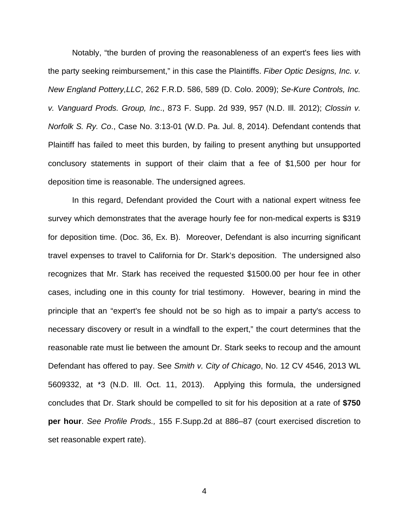Notably, "the burden of proving the reasonableness of an expert's fees lies with the party seeking reimbursement," in this case the Plaintiffs. Fiber Optic Designs, Inc. v. New England Pottery,LLC, 262 F.R.D. 586, 589 (D. Colo. 2009); Se-Kure Controls, Inc. v. Vanguard Prods. Group, Inc., 873 F. Supp. 2d 939, 957 (N.D. Ill. 2012); Clossin v. Norfolk S. Ry. Co., Case No. 3:13-01 (W.D. Pa. Jul. 8, 2014). Defendant contends that Plaintiff has failed to meet this burden, by failing to present anything but unsupported conclusory statements in support of their claim that a fee of \$1,500 per hour for deposition time is reasonable. The undersigned agrees.

In this regard, Defendant provided the Court with a national expert witness fee survey which demonstrates that the average hourly fee for non-medical experts is \$319 for deposition time. (Doc. 36, Ex. B). Moreover, Defendant is also incurring significant travel expenses to travel to California for Dr. Stark's deposition. The undersigned also recognizes that Mr. Stark has received the requested \$1500.00 per hour fee in other cases, including one in this county for trial testimony. However, bearing in mind the principle that an "expert's fee should not be so high as to impair a party's access to necessary discovery or result in a windfall to the expert," the court determines that the reasonable rate must lie between the amount Dr. Stark seeks to recoup and the amount Defendant has offered to pay. See Smith v. City of Chicago, No. 12 CV 4546, 2013 WL 5609332, at \*3 (N.D. Ill. Oct. 11, 2013). Applying this formula, the undersigned concludes that Dr. Stark should be compelled to sit for his deposition at a rate of **\$750 per hour**. See Profile Prods., 155 F.Supp.2d at 886–87 (court exercised discretion to set reasonable expert rate).

4